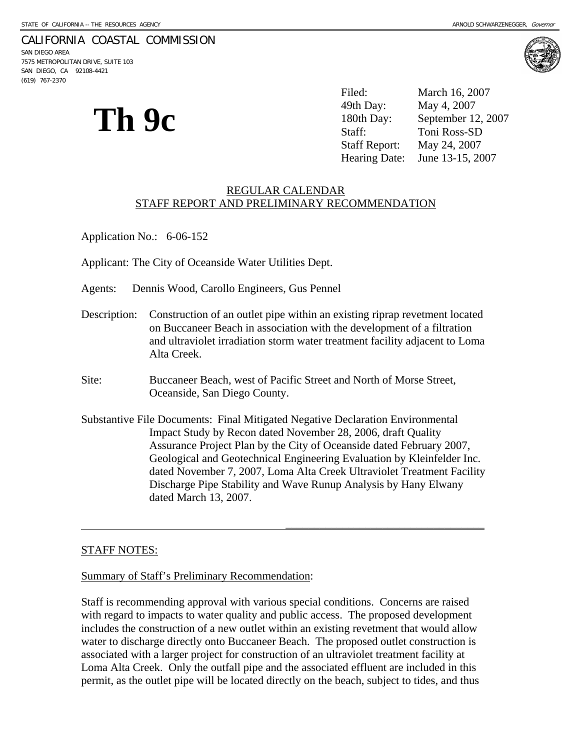## CALIFORNIA COASTAL COMMISSION

SAN DIEGO AREA 7575 METROPOLITAN DRIVE, SUITE 103 SAN DIEGO, CA 92108-4421 (619) 767-2370



**Th 9c** 

Filed: March 16, 2007 49th Day: May 4, 2007 180th Day: September 12, 2007 Staff: Toni Ross-SD Staff Report: May 24, 2007 Hearing Date: June 13-15, 2007

#### REGULAR CALENDAR STAFF REPORT AND PRELIMINARY RECOMMENDATION

Application No.: 6-06-152

Applicant: The City of Oceanside Water Utilities Dept.

Agents: Dennis Wood, Carollo Engineers, Gus Pennel

- Description: Construction of an outlet pipe within an existing riprap revetment located on Buccaneer Beach in association with the development of a filtration and ultraviolet irradiation storm water treatment facility adjacent to Loma Alta Creek.
- Site: Buccaneer Beach, west of Pacific Street and North of Morse Street, Oceanside, San Diego County.
- Substantive File Documents: Final Mitigated Negative Declaration Environmental Impact Study by Recon dated November 28, 2006, draft Quality Assurance Project Plan by the City of Oceanside dated February 2007, Geological and Geotechnical Engineering Evaluation by Kleinfelder Inc. dated November 7, 2007, Loma Alta Creek Ultraviolet Treatment Facility Discharge Pipe Stability and Wave Runup Analysis by Hany Elwany dated March 13, 2007.

 $\overline{\phantom{a}}$ 

#### STAFF NOTES:

#### Summary of Staff's Preliminary Recommendation:

Staff is recommending approval with various special conditions. Concerns are raised with regard to impacts to water quality and public access. The proposed development includes the construction of a new outlet within an existing revetment that would allow water to discharge directly onto Buccaneer Beach. The proposed outlet construction is associated with a larger project for construction of an ultraviolet treatment facility at Loma Alta Creek. Only the outfall pipe and the associated effluent are included in this permit, as the outlet pipe will be located directly on the beach, subject to tides, and thus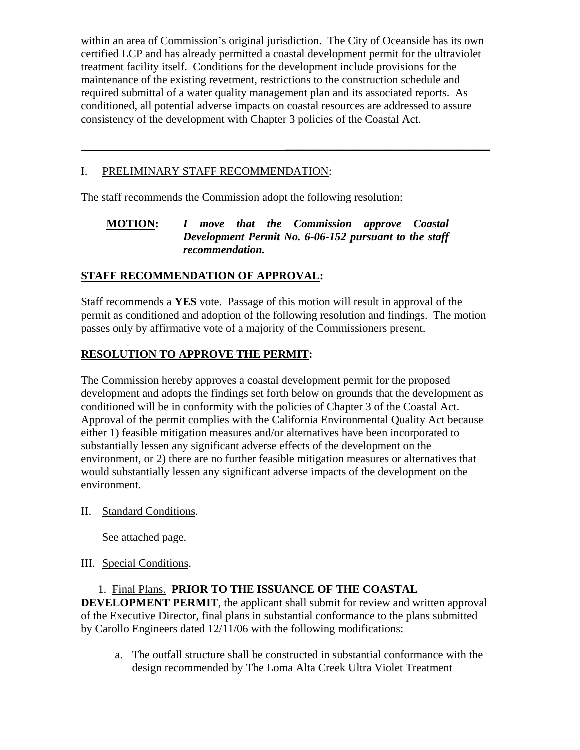within an area of Commission's original jurisdiction. The City of Oceanside has its own certified LCP and has already permitted a coastal development permit for the ultraviolet treatment facility itself. Conditions for the development include provisions for the maintenance of the existing revetment, restrictions to the construction schedule and required submittal of a water quality management plan and its associated reports. As conditioned, all potential adverse impacts on coastal resources are addressed to assure consistency of the development with Chapter 3 policies of the Coastal Act.

 $\overline{\phantom{a}}$  , and the contract of the contract of the contract of the contract of the contract of the contract of the contract of the contract of the contract of the contract of the contract of the contract of the contrac

# I. PRELIMINARY STAFF RECOMMENDATION:

The staff recommends the Commission adopt the following resolution:

# **MOTION:** *I move that the Commission approve Coastal Development Permit No. 6-06-152 pursuant to the staff recommendation.*

# **STAFF RECOMMENDATION OF APPROVAL:**

Staff recommends a **YES** vote. Passage of this motion will result in approval of the permit as conditioned and adoption of the following resolution and findings. The motion passes only by affirmative vote of a majority of the Commissioners present.

# **RESOLUTION TO APPROVE THE PERMIT:**

The Commission hereby approves a coastal development permit for the proposed development and adopts the findings set forth below on grounds that the development as conditioned will be in conformity with the policies of Chapter 3 of the Coastal Act. Approval of the permit complies with the California Environmental Quality Act because either 1) feasible mitigation measures and/or alternatives have been incorporated to substantially lessen any significant adverse effects of the development on the environment, or 2) there are no further feasible mitigation measures or alternatives that would substantially lessen any significant adverse impacts of the development on the environment.

II. Standard Conditions.

See attached page.

# III. Special Conditions.

 1. Final Plans. **PRIOR TO THE ISSUANCE OF THE COASTAL DEVELOPMENT PERMIT**, the applicant shall submit for review and written approval of the Executive Director, final plans in substantial conformance to the plans submitted by Carollo Engineers dated 12/11/06 with the following modifications:

a. The outfall structure shall be constructed in substantial conformance with the design recommended by The Loma Alta Creek Ultra Violet Treatment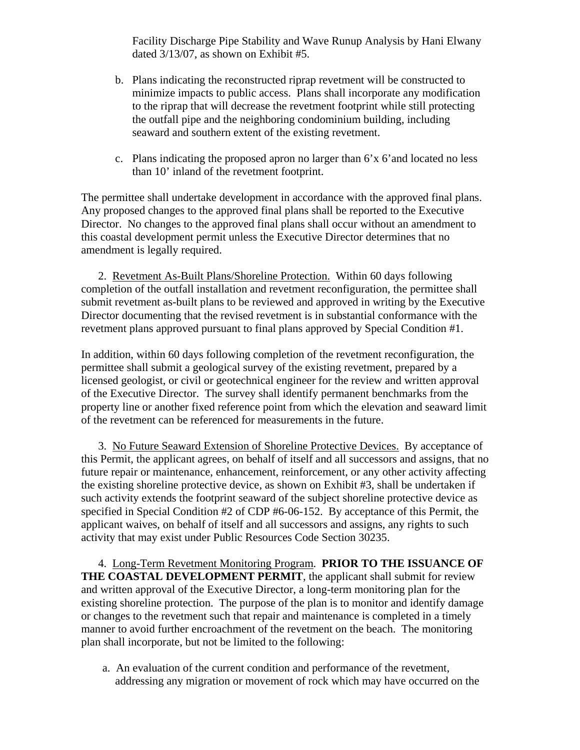Facility Discharge Pipe Stability and Wave Runup Analysis by Hani Elwany dated 3/13/07, as shown on Exhibit #5.

- b. Plans indicating the reconstructed riprap revetment will be constructed to minimize impacts to public access. Plans shall incorporate any modification to the riprap that will decrease the revetment footprint while still protecting the outfall pipe and the neighboring condominium building, including seaward and southern extent of the existing revetment.
- c. Plans indicating the proposed apron no larger than 6'x 6'and located no less than 10' inland of the revetment footprint.

The permittee shall undertake development in accordance with the approved final plans. Any proposed changes to the approved final plans shall be reported to the Executive Director. No changes to the approved final plans shall occur without an amendment to this coastal development permit unless the Executive Director determines that no amendment is legally required.

 2. Revetment As-Built Plans/Shoreline Protection. Within 60 days following completion of the outfall installation and revetment reconfiguration, the permittee shall submit revetment as-built plans to be reviewed and approved in writing by the Executive Director documenting that the revised revetment is in substantial conformance with the revetment plans approved pursuant to final plans approved by Special Condition #1.

In addition, within 60 days following completion of the revetment reconfiguration, the permittee shall submit a geological survey of the existing revetment, prepared by a licensed geologist, or civil or geotechnical engineer for the review and written approval of the Executive Director. The survey shall identify permanent benchmarks from the property line or another fixed reference point from which the elevation and seaward limit of the revetment can be referenced for measurements in the future.

 3. No Future Seaward Extension of Shoreline Protective Devices. By acceptance of this Permit, the applicant agrees, on behalf of itself and all successors and assigns, that no future repair or maintenance, enhancement, reinforcement, or any other activity affecting the existing shoreline protective device, as shown on Exhibit #3, shall be undertaken if such activity extends the footprint seaward of the subject shoreline protective device as specified in Special Condition #2 of CDP #6-06-152. By acceptance of this Permit, the applicant waives, on behalf of itself and all successors and assigns, any rights to such activity that may exist under Public Resources Code Section 30235.

 4. Long-Term Revetment Monitoring Program. **PRIOR TO THE ISSUANCE OF THE COASTAL DEVELOPMENT PERMIT**, the applicant shall submit for review and written approval of the Executive Director, a long-term monitoring plan for the existing shoreline protection. The purpose of the plan is to monitor and identify damage or changes to the revetment such that repair and maintenance is completed in a timely manner to avoid further encroachment of the revetment on the beach. The monitoring plan shall incorporate, but not be limited to the following:

 a. An evaluation of the current condition and performance of the revetment, addressing any migration or movement of rock which may have occurred on the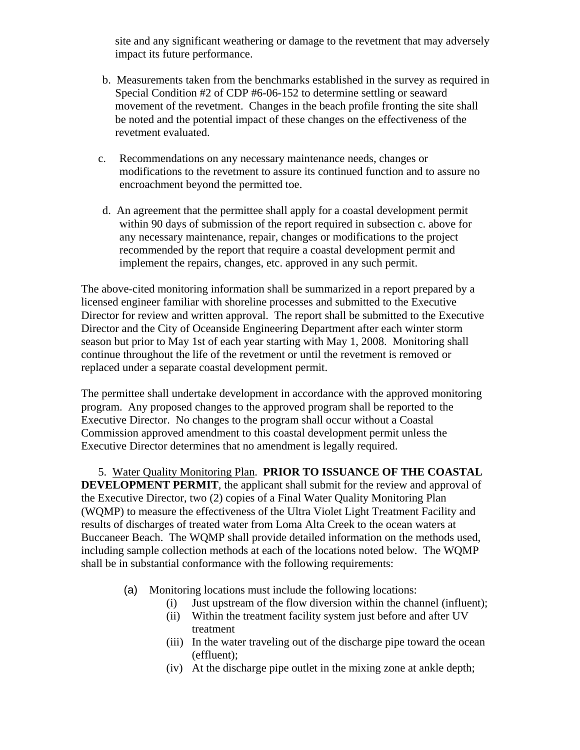site and any significant weathering or damage to the revetment that may adversely impact its future performance.

- b. Measurements taken from the benchmarks established in the survey as required in Special Condition #2 of CDP #6-06-152 to determine settling or seaward movement of the revetment. Changes in the beach profile fronting the site shall be noted and the potential impact of these changes on the effectiveness of the revetment evaluated.
- c. Recommendations on any necessary maintenance needs, changes or modifications to the revetment to assure its continued function and to assure no encroachment beyond the permitted toe.
- d. An agreement that the permittee shall apply for a coastal development permit within 90 days of submission of the report required in subsection c. above for any necessary maintenance, repair, changes or modifications to the project recommended by the report that require a coastal development permit and implement the repairs, changes, etc. approved in any such permit.

The above-cited monitoring information shall be summarized in a report prepared by a licensed engineer familiar with shoreline processes and submitted to the Executive Director for review and written approval. The report shall be submitted to the Executive Director and the City of Oceanside Engineering Department after each winter storm season but prior to May 1st of each year starting with May 1, 2008. Monitoring shall continue throughout the life of the revetment or until the revetment is removed or replaced under a separate coastal development permit.

The permittee shall undertake development in accordance with the approved monitoring program. Any proposed changes to the approved program shall be reported to the Executive Director. No changes to the program shall occur without a Coastal Commission approved amendment to this coastal development permit unless the Executive Director determines that no amendment is legally required.

 5. Water Quality Monitoring Plan. **PRIOR TO ISSUANCE OF THE COASTAL DEVELOPMENT PERMIT**, the applicant shall submit for the review and approval of the Executive Director, two (2) copies of a Final Water Quality Monitoring Plan (WQMP) to measure the effectiveness of the Ultra Violet Light Treatment Facility and results of discharges of treated water from Loma Alta Creek to the ocean waters at Buccaneer Beach. The WQMP shall provide detailed information on the methods used, including sample collection methods at each of the locations noted below. The WQMP shall be in substantial conformance with the following requirements:

- (a) Monitoring locations must include the following locations:
	- (i) Just upstream of the flow diversion within the channel (influent);
	- (ii) Within the treatment facility system just before and after UV treatment
	- (iii) In the water traveling out of the discharge pipe toward the ocean (effluent);
	- (iv) At the discharge pipe outlet in the mixing zone at ankle depth;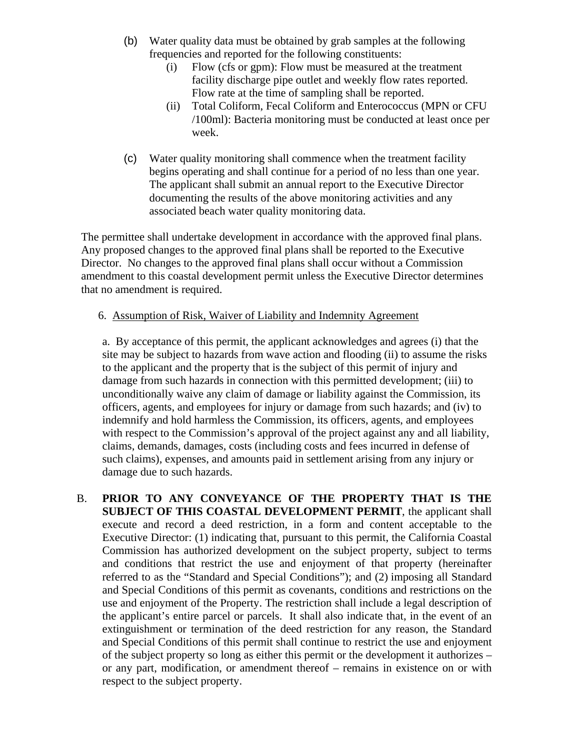- (b) Water quality data must be obtained by grab samples at the following frequencies and reported for the following constituents:
	- (i) Flow (cfs or gpm): Flow must be measured at the treatment facility discharge pipe outlet and weekly flow rates reported. Flow rate at the time of sampling shall be reported.
	- (ii) Total Coliform, Fecal Coliform and Enterococcus (MPN or CFU /100ml): Bacteria monitoring must be conducted at least once per week.
- (c) Water quality monitoring shall commence when the treatment facility begins operating and shall continue for a period of no less than one year. The applicant shall submit an annual report to the Executive Director documenting the results of the above monitoring activities and any associated beach water quality monitoring data.

The permittee shall undertake development in accordance with the approved final plans. Any proposed changes to the approved final plans shall be reported to the Executive Director. No changes to the approved final plans shall occur without a Commission amendment to this coastal development permit unless the Executive Director determines that no amendment is required.

## 6. Assumption of Risk, Waiver of Liability and Indemnity Agreement

a. By acceptance of this permit, the applicant acknowledges and agrees (i) that the site may be subject to hazards from wave action and flooding (ii) to assume the risks to the applicant and the property that is the subject of this permit of injury and damage from such hazards in connection with this permitted development; (iii) to unconditionally waive any claim of damage or liability against the Commission, its officers, agents, and employees for injury or damage from such hazards; and (iv) to indemnify and hold harmless the Commission, its officers, agents, and employees with respect to the Commission's approval of the project against any and all liability, claims, demands, damages, costs (including costs and fees incurred in defense of such claims), expenses, and amounts paid in settlement arising from any injury or damage due to such hazards.

B. **PRIOR TO ANY CONVEYANCE OF THE PROPERTY THAT IS THE SUBJECT OF THIS COASTAL DEVELOPMENT PERMIT**, the applicant shall execute and record a deed restriction, in a form and content acceptable to the Executive Director: (1) indicating that, pursuant to this permit, the California Coastal Commission has authorized development on the subject property, subject to terms and conditions that restrict the use and enjoyment of that property (hereinafter referred to as the "Standard and Special Conditions"); and (2) imposing all Standard and Special Conditions of this permit as covenants, conditions and restrictions on the use and enjoyment of the Property. The restriction shall include a legal description of the applicant's entire parcel or parcels. It shall also indicate that, in the event of an extinguishment or termination of the deed restriction for any reason, the Standard and Special Conditions of this permit shall continue to restrict the use and enjoyment of the subject property so long as either this permit or the development it authorizes – or any part, modification, or amendment thereof – remains in existence on or with respect to the subject property.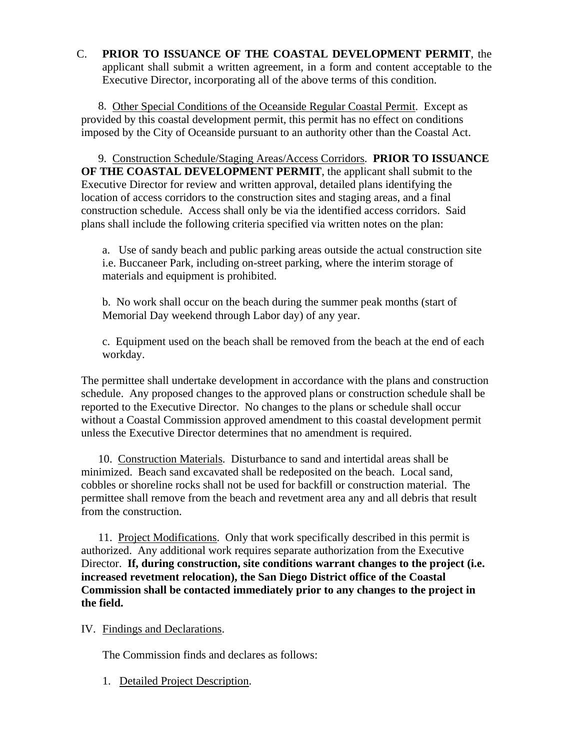## C. **PRIOR TO ISSUANCE OF THE COASTAL DEVELOPMENT PERMIT**, the applicant shall submit a written agreement, in a form and content acceptable to the Executive Director, incorporating all of the above terms of this condition.

 8. Other Special Conditions of the Oceanside Regular Coastal Permit. Except as provided by this coastal development permit, this permit has no effect on conditions imposed by the City of Oceanside pursuant to an authority other than the Coastal Act.

 9. Construction Schedule/Staging Areas/Access Corridors. **PRIOR TO ISSUANCE OF THE COASTAL DEVELOPMENT PERMIT**, the applicant shall submit to the Executive Director for review and written approval, detailed plans identifying the location of access corridors to the construction sites and staging areas, and a final construction schedule. Access shall only be via the identified access corridors. Said plans shall include the following criteria specified via written notes on the plan:

a. Use of sandy beach and public parking areas outside the actual construction site i.e. Buccaneer Park, including on-street parking, where the interim storage of materials and equipment is prohibited.

b. No work shall occur on the beach during the summer peak months (start of Memorial Day weekend through Labor day) of any year.

c. Equipment used on the beach shall be removed from the beach at the end of each workday.

The permittee shall undertake development in accordance with the plans and construction schedule. Any proposed changes to the approved plans or construction schedule shall be reported to the Executive Director. No changes to the plans or schedule shall occur without a Coastal Commission approved amendment to this coastal development permit unless the Executive Director determines that no amendment is required.

 10. Construction Materials. Disturbance to sand and intertidal areas shall be minimized. Beach sand excavated shall be redeposited on the beach. Local sand, cobbles or shoreline rocks shall not be used for backfill or construction material. The permittee shall remove from the beach and revetment area any and all debris that result from the construction.

 11. Project Modifications. Only that work specifically described in this permit is authorized. Any additional work requires separate authorization from the Executive Director. **If, during construction, site conditions warrant changes to the project (i.e. increased revetment relocation), the San Diego District office of the Coastal Commission shall be contacted immediately prior to any changes to the project in the field.** 

IV. Findings and Declarations.

The Commission finds and declares as follows:

1. Detailed Project Description.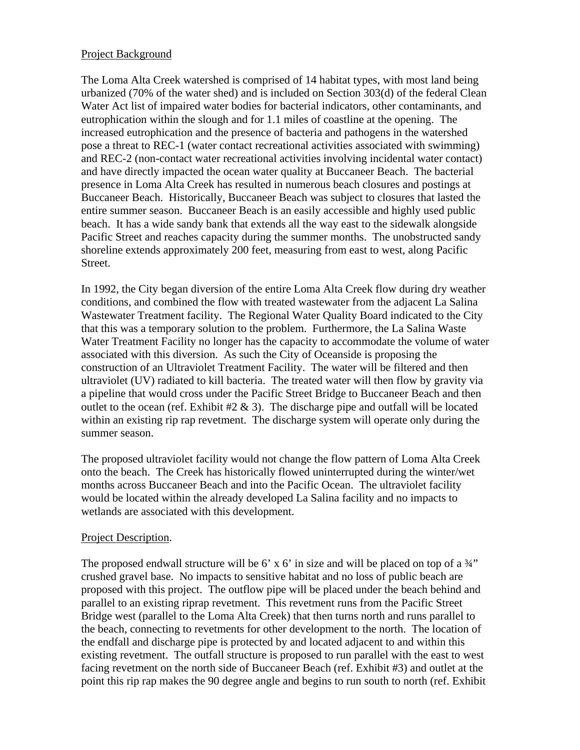### Project Background

The Loma Alta Creek watershed is comprised of 14 habitat types, with most land being urbanized (70% of the water shed) and is included on Section 303(d) of the federal Clean Water Act list of impaired water bodies for bacterial indicators, other contaminants, and eutrophication within the slough and for 1.1 miles of coastline at the opening. The increased eutrophication and the presence of bacteria and pathogens in the watershed pose a threat to REC-1 (water contact recreational activities associated with swimming) and REC-2 (non-contact water recreational activities involving incidental water contact) and have directly impacted the ocean water quality at Buccaneer Beach. The bacterial presence in Loma Alta Creek has resulted in numerous beach closures and postings at Buccaneer Beach. Historically, Buccaneer Beach was subject to closures that lasted the entire summer season. Buccaneer Beach is an easily accessible and highly used public beach. It has a wide sandy bank that extends all the way east to the sidewalk alongside Pacific Street and reaches capacity during the summer months. The unobstructed sandy shoreline extends approximately 200 feet, measuring from east to west, along Pacific Street.

In 1992, the City began diversion of the entire Loma Alta Creek flow during dry weather conditions, and combined the flow with treated wastewater from the adjacent La Salina Wastewater Treatment facility. The Regional Water Quality Board indicated to the City that this was a temporary solution to the problem. Furthermore, the La Salina Waste Water Treatment Facility no longer has the capacity to accommodate the volume of water associated with this diversion. As such the City of Oceanside is proposing the construction of an Ultraviolet Treatment Facility. The water will be filtered and then ultraviolet (UV) radiated to kill bacteria. The treated water will then flow by gravity via a pipeline that would cross under the Pacific Street Bridge to Buccaneer Beach and then outlet to the ocean (ref. Exhibit  $\#2 \& 3$ ). The discharge pipe and outfall will be located within an existing rip rap revetment. The discharge system will operate only during the summer season.

The proposed ultraviolet facility would not change the flow pattern of Loma Alta Creek onto the beach. The Creek has historically flowed uninterrupted during the winter/wet months across Buccaneer Beach and into the Pacific Ocean. The ultraviolet facility would be located within the already developed La Salina facility and no impacts to wetlands are associated with this development.

### Project Description.

The proposed endwall structure will be 6' x 6' in size and will be placed on top of a  $\frac{3}{4}$ " crushed gravel base. No impacts to sensitive habitat and no loss of public beach are proposed with this project. The outflow pipe will be placed under the beach behind and parallel to an existing riprap revetment. This revetment runs from the Pacific Street Bridge west (parallel to the Loma Alta Creek) that then turns north and runs parallel to the beach, connecting to revetments for other development to the north. The location of the endfall and discharge pipe is protected by and located adjacent to and within this existing revetment. The outfall structure is proposed to run parallel with the east to west facing revetment on the north side of Buccaneer Beach (ref. Exhibit #3) and outlet at the point this rip rap makes the 90 degree angle and begins to run south to north (ref. Exhibit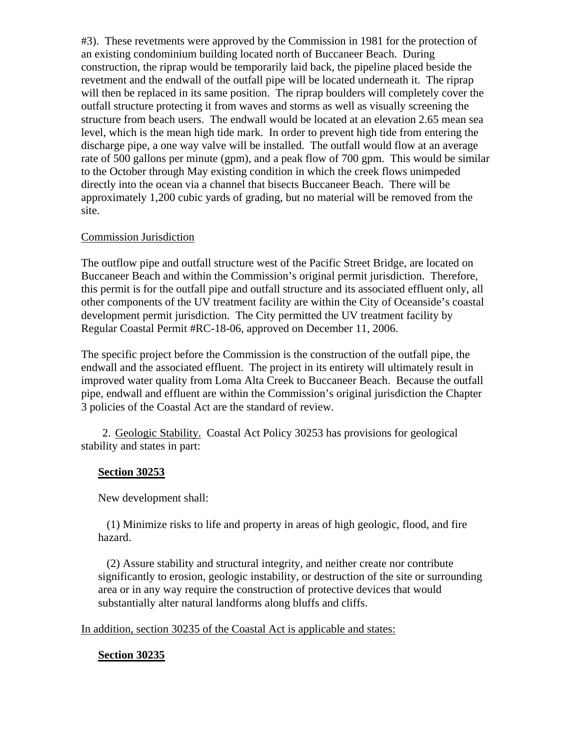#3). These revetments were approved by the Commission in 1981 for the protection of an existing condominium building located north of Buccaneer Beach. During construction, the riprap would be temporarily laid back, the pipeline placed beside the revetment and the endwall of the outfall pipe will be located underneath it. The riprap will then be replaced in its same position. The riprap boulders will completely cover the outfall structure protecting it from waves and storms as well as visually screening the structure from beach users. The endwall would be located at an elevation 2.65 mean sea level, which is the mean high tide mark. In order to prevent high tide from entering the discharge pipe, a one way valve will be installed. The outfall would flow at an average rate of 500 gallons per minute (gpm), and a peak flow of 700 gpm. This would be similar to the October through May existing condition in which the creek flows unimpeded directly into the ocean via a channel that bisects Buccaneer Beach. There will be approximately 1,200 cubic yards of grading, but no material will be removed from the site.

## Commission Jurisdiction

The outflow pipe and outfall structure west of the Pacific Street Bridge, are located on Buccaneer Beach and within the Commission's original permit jurisdiction. Therefore, this permit is for the outfall pipe and outfall structure and its associated effluent only, all other components of the UV treatment facility are within the City of Oceanside's coastal development permit jurisdiction. The City permitted the UV treatment facility by Regular Coastal Permit #RC-18-06, approved on December 11, 2006.

The specific project before the Commission is the construction of the outfall pipe, the endwall and the associated effluent. The project in its entirety will ultimately result in improved water quality from Loma Alta Creek to Buccaneer Beach. Because the outfall pipe, endwall and effluent are within the Commission's original jurisdiction the Chapter 3 policies of the Coastal Act are the standard of review.

2. Geologic Stability. Coastal Act Policy 30253 has provisions for geological stability and states in part:

# **Section 30253**

New development shall:

 (1) Minimize risks to life and property in areas of high geologic, flood, and fire hazard.

 (2) Assure stability and structural integrity, and neither create nor contribute significantly to erosion, geologic instability, or destruction of the site or surrounding area or in any way require the construction of protective devices that would substantially alter natural landforms along bluffs and cliffs.

### In addition, section 30235 of the Coastal Act is applicable and states:

# **Section 30235**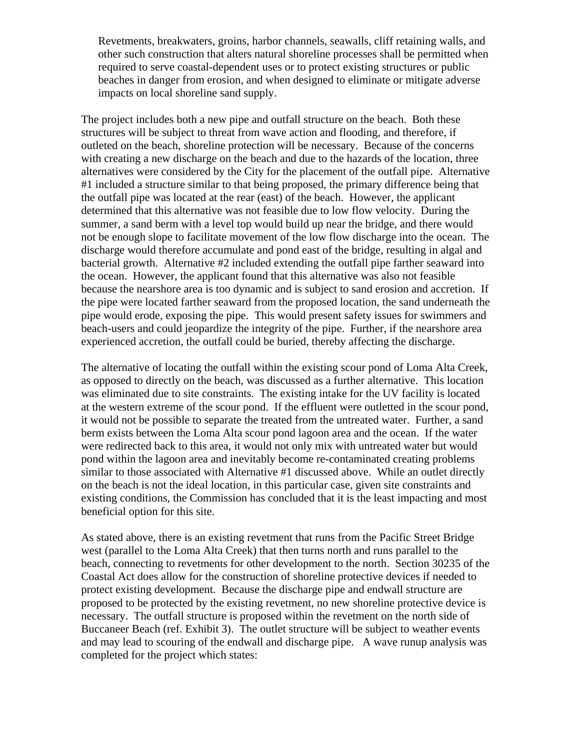Revetments, breakwaters, groins, harbor channels, seawalls, cliff retaining walls, and other such construction that alters natural shoreline processes shall be permitted when required to serve coastal-dependent uses or to protect existing structures or public beaches in danger from erosion, and when designed to eliminate or mitigate adverse impacts on local shoreline sand supply.

The project includes both a new pipe and outfall structure on the beach. Both these structures will be subject to threat from wave action and flooding, and therefore, if outleted on the beach, shoreline protection will be necessary. Because of the concerns with creating a new discharge on the beach and due to the hazards of the location, three alternatives were considered by the City for the placement of the outfall pipe. Alternative #1 included a structure similar to that being proposed, the primary difference being that the outfall pipe was located at the rear (east) of the beach. However, the applicant determined that this alternative was not feasible due to low flow velocity. During the summer, a sand berm with a level top would build up near the bridge, and there would not be enough slope to facilitate movement of the low flow discharge into the ocean. The discharge would therefore accumulate and pond east of the bridge, resulting in algal and bacterial growth. Alternative #2 included extending the outfall pipe farther seaward into the ocean. However, the applicant found that this alternative was also not feasible because the nearshore area is too dynamic and is subject to sand erosion and accretion. If the pipe were located farther seaward from the proposed location, the sand underneath the pipe would erode, exposing the pipe. This would present safety issues for swimmers and beach-users and could jeopardize the integrity of the pipe. Further, if the nearshore area experienced accretion, the outfall could be buried, thereby affecting the discharge.

The alternative of locating the outfall within the existing scour pond of Loma Alta Creek, as opposed to directly on the beach, was discussed as a further alternative. This location was eliminated due to site constraints. The existing intake for the UV facility is located at the western extreme of the scour pond. If the effluent were outletted in the scour pond, it would not be possible to separate the treated from the untreated water. Further, a sand berm exists between the Loma Alta scour pond lagoon area and the ocean. If the water were redirected back to this area, it would not only mix with untreated water but would pond within the lagoon area and inevitably become re-contaminated creating problems similar to those associated with Alternative #1 discussed above. While an outlet directly on the beach is not the ideal location, in this particular case, given site constraints and existing conditions, the Commission has concluded that it is the least impacting and most beneficial option for this site.

As stated above, there is an existing revetment that runs from the Pacific Street Bridge west (parallel to the Loma Alta Creek) that then turns north and runs parallel to the beach, connecting to revetments for other development to the north. Section 30235 of the Coastal Act does allow for the construction of shoreline protective devices if needed to protect existing development. Because the discharge pipe and endwall structure are proposed to be protected by the existing revetment, no new shoreline protective device is necessary. The outfall structure is proposed within the revetment on the north side of Buccaneer Beach (ref. Exhibit 3). The outlet structure will be subject to weather events and may lead to scouring of the endwall and discharge pipe. A wave runup analysis was completed for the project which states: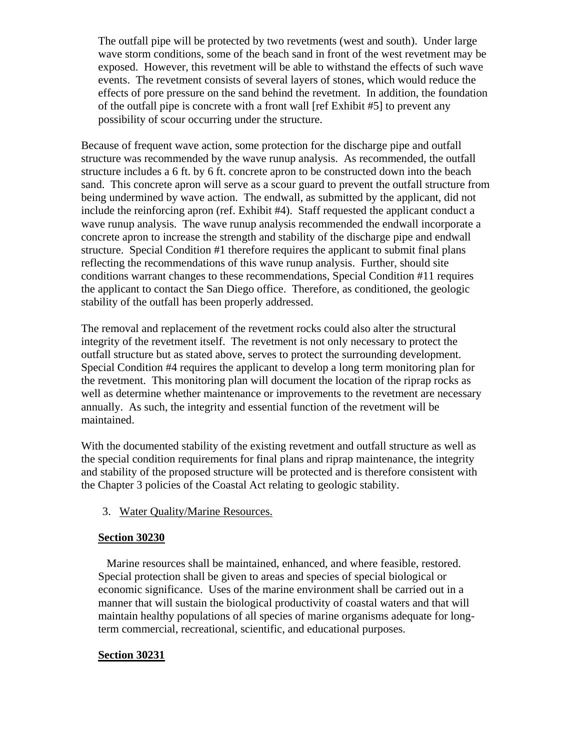The outfall pipe will be protected by two revetments (west and south). Under large wave storm conditions, some of the beach sand in front of the west revetment may be exposed. However, this revetment will be able to withstand the effects of such wave events. The revetment consists of several layers of stones, which would reduce the effects of pore pressure on the sand behind the revetment. In addition, the foundation of the outfall pipe is concrete with a front wall [ref Exhibit #5] to prevent any possibility of scour occurring under the structure.

Because of frequent wave action, some protection for the discharge pipe and outfall structure was recommended by the wave runup analysis. As recommended, the outfall structure includes a 6 ft. by 6 ft. concrete apron to be constructed down into the beach sand. This concrete apron will serve as a scour guard to prevent the outfall structure from being undermined by wave action. The endwall, as submitted by the applicant, did not include the reinforcing apron (ref. Exhibit #4). Staff requested the applicant conduct a wave runup analysis. The wave runup analysis recommended the endwall incorporate a concrete apron to increase the strength and stability of the discharge pipe and endwall structure. Special Condition #1 therefore requires the applicant to submit final plans reflecting the recommendations of this wave runup analysis. Further, should site conditions warrant changes to these recommendations, Special Condition #11 requires the applicant to contact the San Diego office. Therefore, as conditioned, the geologic stability of the outfall has been properly addressed.

The removal and replacement of the revetment rocks could also alter the structural integrity of the revetment itself. The revetment is not only necessary to protect the outfall structure but as stated above, serves to protect the surrounding development. Special Condition #4 requires the applicant to develop a long term monitoring plan for the revetment. This monitoring plan will document the location of the riprap rocks as well as determine whether maintenance or improvements to the revetment are necessary annually. As such, the integrity and essential function of the revetment will be maintained.

With the documented stability of the existing revetment and outfall structure as well as the special condition requirements for final plans and riprap maintenance, the integrity and stability of the proposed structure will be protected and is therefore consistent with the Chapter 3 policies of the Coastal Act relating to geologic stability.

3. Water Quality/Marine Resources.

### **Section 30230**

 Marine resources shall be maintained, enhanced, and where feasible, restored. Special protection shall be given to areas and species of special biological or economic significance. Uses of the marine environment shall be carried out in a manner that will sustain the biological productivity of coastal waters and that will maintain healthy populations of all species of marine organisms adequate for longterm commercial, recreational, scientific, and educational purposes.

### **Section 30231**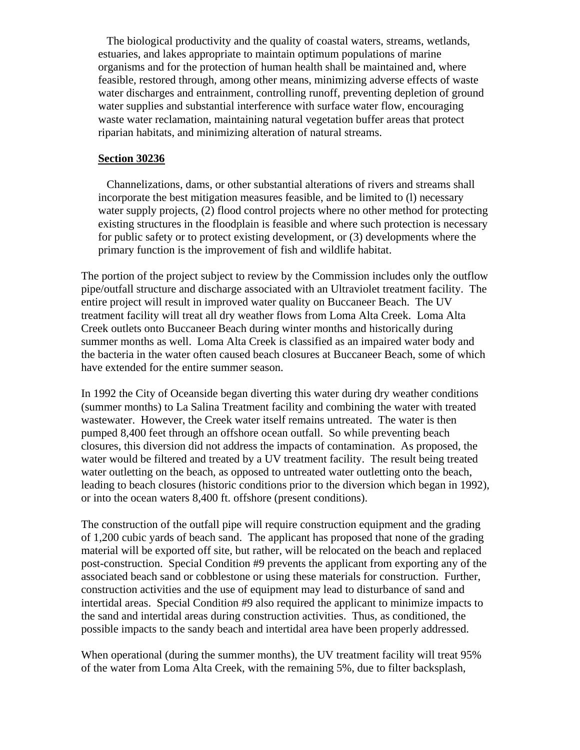The biological productivity and the quality of coastal waters, streams, wetlands, estuaries, and lakes appropriate to maintain optimum populations of marine organisms and for the protection of human health shall be maintained and, where feasible, restored through, among other means, minimizing adverse effects of waste water discharges and entrainment, controlling runoff, preventing depletion of ground water supplies and substantial interference with surface water flow, encouraging waste water reclamation, maintaining natural vegetation buffer areas that protect riparian habitats, and minimizing alteration of natural streams.

#### **Section 30236**

 Channelizations, dams, or other substantial alterations of rivers and streams shall incorporate the best mitigation measures feasible, and be limited to (l) necessary water supply projects, (2) flood control projects where no other method for protecting existing structures in the floodplain is feasible and where such protection is necessary for public safety or to protect existing development, or (3) developments where the primary function is the improvement of fish and wildlife habitat.

The portion of the project subject to review by the Commission includes only the outflow pipe/outfall structure and discharge associated with an Ultraviolet treatment facility. The entire project will result in improved water quality on Buccaneer Beach. The UV treatment facility will treat all dry weather flows from Loma Alta Creek. Loma Alta Creek outlets onto Buccaneer Beach during winter months and historically during summer months as well. Loma Alta Creek is classified as an impaired water body and the bacteria in the water often caused beach closures at Buccaneer Beach, some of which have extended for the entire summer season.

In 1992 the City of Oceanside began diverting this water during dry weather conditions (summer months) to La Salina Treatment facility and combining the water with treated wastewater. However, the Creek water itself remains untreated. The water is then pumped 8,400 feet through an offshore ocean outfall. So while preventing beach closures, this diversion did not address the impacts of contamination. As proposed, the water would be filtered and treated by a UV treatment facility. The result being treated water outletting on the beach, as opposed to untreated water outletting onto the beach, leading to beach closures (historic conditions prior to the diversion which began in 1992), or into the ocean waters 8,400 ft. offshore (present conditions).

The construction of the outfall pipe will require construction equipment and the grading of 1,200 cubic yards of beach sand. The applicant has proposed that none of the grading material will be exported off site, but rather, will be relocated on the beach and replaced post-construction. Special Condition #9 prevents the applicant from exporting any of the associated beach sand or cobblestone or using these materials for construction. Further, construction activities and the use of equipment may lead to disturbance of sand and intertidal areas. Special Condition #9 also required the applicant to minimize impacts to the sand and intertidal areas during construction activities. Thus, as conditioned, the possible impacts to the sandy beach and intertidal area have been properly addressed.

When operational (during the summer months), the UV treatment facility will treat 95% of the water from Loma Alta Creek, with the remaining 5%, due to filter backsplash,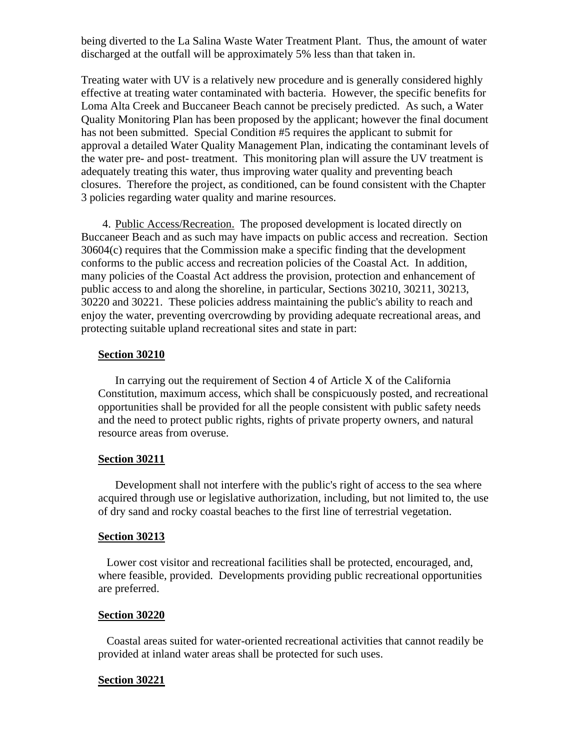being diverted to the La Salina Waste Water Treatment Plant. Thus, the amount of water discharged at the outfall will be approximately 5% less than that taken in.

Treating water with UV is a relatively new procedure and is generally considered highly effective at treating water contaminated with bacteria. However, the specific benefits for Loma Alta Creek and Buccaneer Beach cannot be precisely predicted. As such, a Water Quality Monitoring Plan has been proposed by the applicant; however the final document has not been submitted. Special Condition #5 requires the applicant to submit for approval a detailed Water Quality Management Plan, indicating the contaminant levels of the water pre- and post- treatment. This monitoring plan will assure the UV treatment is adequately treating this water, thus improving water quality and preventing beach closures. Therefore the project, as conditioned, can be found consistent with the Chapter 3 policies regarding water quality and marine resources.

4. Public Access/Recreation. The proposed development is located directly on Buccaneer Beach and as such may have impacts on public access and recreation. Section 30604(c) requires that the Commission make a specific finding that the development conforms to the public access and recreation policies of the Coastal Act. In addition, many policies of the Coastal Act address the provision, protection and enhancement of public access to and along the shoreline, in particular, Sections 30210, 30211, 30213, 30220 and 30221. These policies address maintaining the public's ability to reach and enjoy the water, preventing overcrowding by providing adequate recreational areas, and protecting suitable upland recreational sites and state in part:

#### **Section 30210**

 In carrying out the requirement of Section 4 of Article X of the California Constitution, maximum access, which shall be conspicuously posted, and recreational opportunities shall be provided for all the people consistent with public safety needs and the need to protect public rights, rights of private property owners, and natural resource areas from overuse.

#### **Section 30211**

 Development shall not interfere with the public's right of access to the sea where acquired through use or legislative authorization, including, but not limited to, the use of dry sand and rocky coastal beaches to the first line of terrestrial vegetation.

#### **Section 30213**

 Lower cost visitor and recreational facilities shall be protected, encouraged, and, where feasible, provided. Developments providing public recreational opportunities are preferred.

#### **Section 30220**

 Coastal areas suited for water-oriented recreational activities that cannot readily be provided at inland water areas shall be protected for such uses.

#### **Section 30221**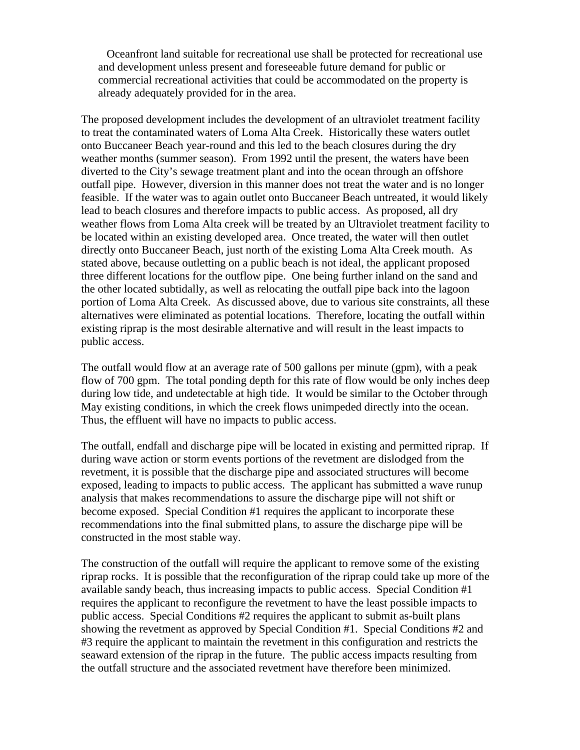Oceanfront land suitable for recreational use shall be protected for recreational use and development unless present and foreseeable future demand for public or commercial recreational activities that could be accommodated on the property is already adequately provided for in the area.

The proposed development includes the development of an ultraviolet treatment facility to treat the contaminated waters of Loma Alta Creek. Historically these waters outlet onto Buccaneer Beach year-round and this led to the beach closures during the dry weather months (summer season). From 1992 until the present, the waters have been diverted to the City's sewage treatment plant and into the ocean through an offshore outfall pipe. However, diversion in this manner does not treat the water and is no longer feasible. If the water was to again outlet onto Buccaneer Beach untreated, it would likely lead to beach closures and therefore impacts to public access. As proposed, all dry weather flows from Loma Alta creek will be treated by an Ultraviolet treatment facility to be located within an existing developed area. Once treated, the water will then outlet directly onto Buccaneer Beach, just north of the existing Loma Alta Creek mouth. As stated above, because outletting on a public beach is not ideal, the applicant proposed three different locations for the outflow pipe. One being further inland on the sand and the other located subtidally, as well as relocating the outfall pipe back into the lagoon portion of Loma Alta Creek. As discussed above, due to various site constraints, all these alternatives were eliminated as potential locations. Therefore, locating the outfall within existing riprap is the most desirable alternative and will result in the least impacts to public access.

The outfall would flow at an average rate of 500 gallons per minute (gpm), with a peak flow of 700 gpm. The total ponding depth for this rate of flow would be only inches deep during low tide, and undetectable at high tide. It would be similar to the October through May existing conditions, in which the creek flows unimpeded directly into the ocean. Thus, the effluent will have no impacts to public access.

The outfall, endfall and discharge pipe will be located in existing and permitted riprap. If during wave action or storm events portions of the revetment are dislodged from the revetment, it is possible that the discharge pipe and associated structures will become exposed, leading to impacts to public access. The applicant has submitted a wave runup analysis that makes recommendations to assure the discharge pipe will not shift or become exposed. Special Condition #1 requires the applicant to incorporate these recommendations into the final submitted plans, to assure the discharge pipe will be constructed in the most stable way.

The construction of the outfall will require the applicant to remove some of the existing riprap rocks. It is possible that the reconfiguration of the riprap could take up more of the available sandy beach, thus increasing impacts to public access. Special Condition #1 requires the applicant to reconfigure the revetment to have the least possible impacts to public access. Special Conditions #2 requires the applicant to submit as-built plans showing the revetment as approved by Special Condition #1. Special Conditions #2 and #3 require the applicant to maintain the revetment in this configuration and restricts the seaward extension of the riprap in the future. The public access impacts resulting from the outfall structure and the associated revetment have therefore been minimized.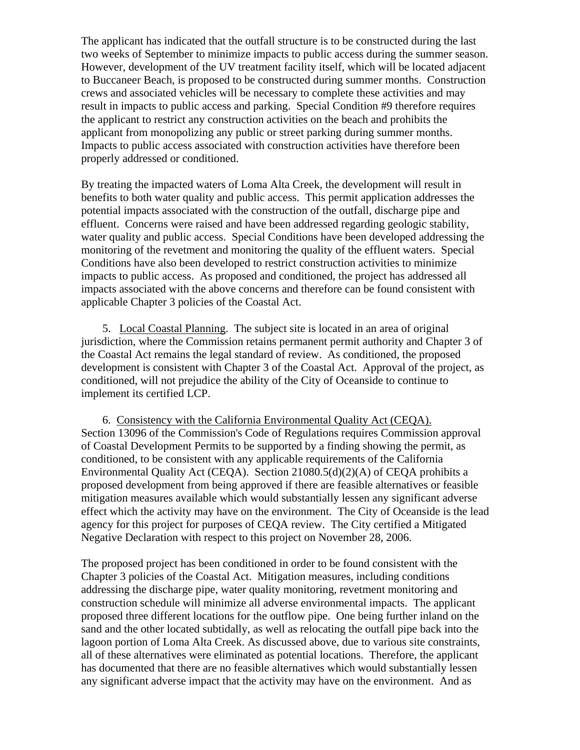The applicant has indicated that the outfall structure is to be constructed during the last two weeks of September to minimize impacts to public access during the summer season. However, development of the UV treatment facility itself, which will be located adjacent to Buccaneer Beach, is proposed to be constructed during summer months. Construction crews and associated vehicles will be necessary to complete these activities and may result in impacts to public access and parking. Special Condition #9 therefore requires the applicant to restrict any construction activities on the beach and prohibits the applicant from monopolizing any public or street parking during summer months. Impacts to public access associated with construction activities have therefore been properly addressed or conditioned.

By treating the impacted waters of Loma Alta Creek, the development will result in benefits to both water quality and public access. This permit application addresses the potential impacts associated with the construction of the outfall, discharge pipe and effluent. Concerns were raised and have been addressed regarding geologic stability, water quality and public access. Special Conditions have been developed addressing the monitoring of the revetment and monitoring the quality of the effluent waters. Special Conditions have also been developed to restrict construction activities to minimize impacts to public access. As proposed and conditioned, the project has addressed all impacts associated with the above concerns and therefore can be found consistent with applicable Chapter 3 policies of the Coastal Act.

 5. Local Coastal Planning. The subject site is located in an area of original jurisdiction, where the Commission retains permanent permit authority and Chapter 3 of the Coastal Act remains the legal standard of review. As conditioned, the proposed development is consistent with Chapter 3 of the Coastal Act. Approval of the project, as conditioned, will not prejudice the ability of the City of Oceanside to continue to implement its certified LCP.

 6. Consistency with the California Environmental Quality Act (CEQA). Section 13096 of the Commission's Code of Regulations requires Commission approval of Coastal Development Permits to be supported by a finding showing the permit, as conditioned, to be consistent with any applicable requirements of the California Environmental Quality Act (CEQA). Section 21080.5(d)(2)(A) of CEQA prohibits a proposed development from being approved if there are feasible alternatives or feasible mitigation measures available which would substantially lessen any significant adverse effect which the activity may have on the environment. The City of Oceanside is the lead agency for this project for purposes of CEQA review. The City certified a Mitigated Negative Declaration with respect to this project on November 28, 2006.

The proposed project has been conditioned in order to be found consistent with the Chapter 3 policies of the Coastal Act. Mitigation measures, including conditions addressing the discharge pipe, water quality monitoring, revetment monitoring and construction schedule will minimize all adverse environmental impacts. The applicant proposed three different locations for the outflow pipe. One being further inland on the sand and the other located subtidally, as well as relocating the outfall pipe back into the lagoon portion of Loma Alta Creek. As discussed above, due to various site constraints, all of these alternatives were eliminated as potential locations. Therefore, the applicant has documented that there are no feasible alternatives which would substantially lessen any significant adverse impact that the activity may have on the environment. And as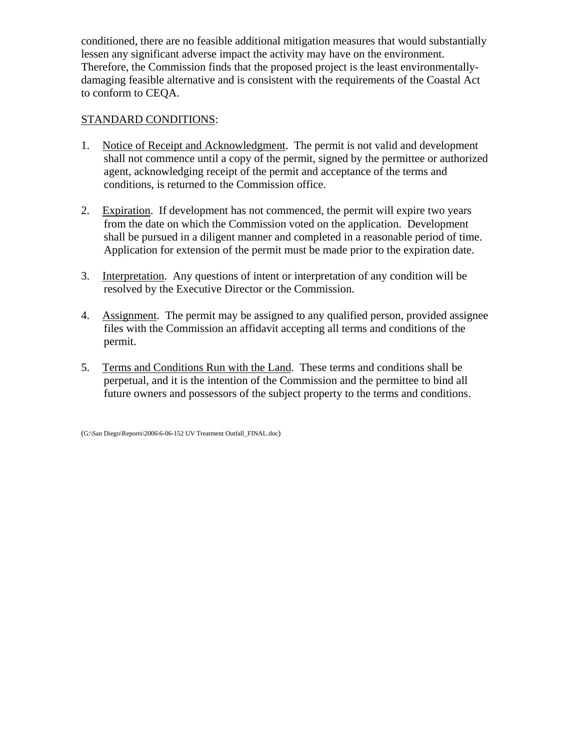conditioned, there are no feasible additional mitigation measures that would substantially lessen any significant adverse impact the activity may have on the environment. Therefore, the Commission finds that the proposed project is the least environmentallydamaging feasible alternative and is consistent with the requirements of the Coastal Act to conform to CEQA.

# STANDARD CONDITIONS:

- 1. Notice of Receipt and Acknowledgment. The permit is not valid and development shall not commence until a copy of the permit, signed by the permittee or authorized agent, acknowledging receipt of the permit and acceptance of the terms and conditions, is returned to the Commission office.
- 2. Expiration. If development has not commenced, the permit will expire two years from the date on which the Commission voted on the application. Development shall be pursued in a diligent manner and completed in a reasonable period of time. Application for extension of the permit must be made prior to the expiration date.
- 3. Interpretation. Any questions of intent or interpretation of any condition will be resolved by the Executive Director or the Commission.
- 4. Assignment. The permit may be assigned to any qualified person, provided assignee files with the Commission an affidavit accepting all terms and conditions of the permit.
- 5. Terms and Conditions Run with the Land. These terms and conditions shall be perpetual, and it is the intention of the Commission and the permittee to bind all future owners and possessors of the subject property to the terms and conditions.

(G:\San Diego\Reports\2006\6-06-152 UV Treatment Outfall\_FINAL.doc)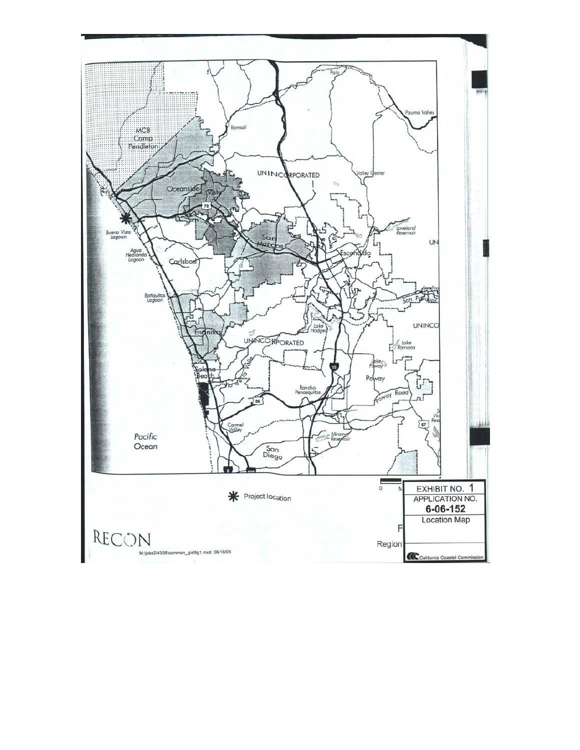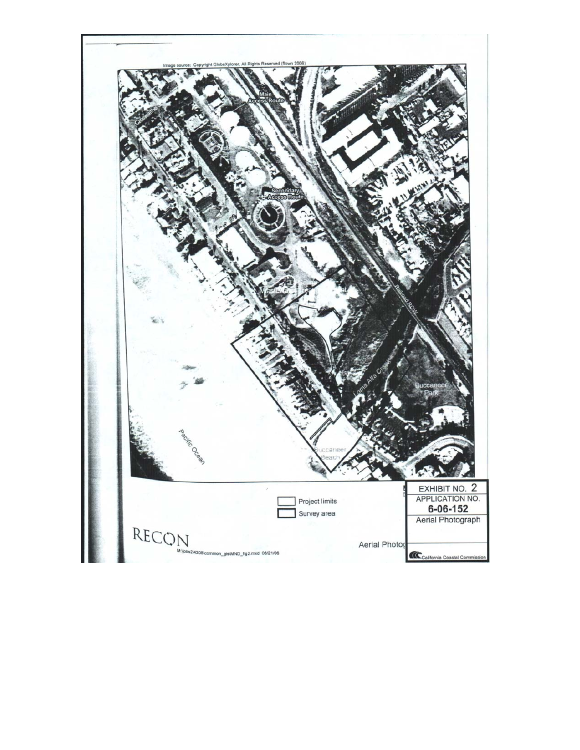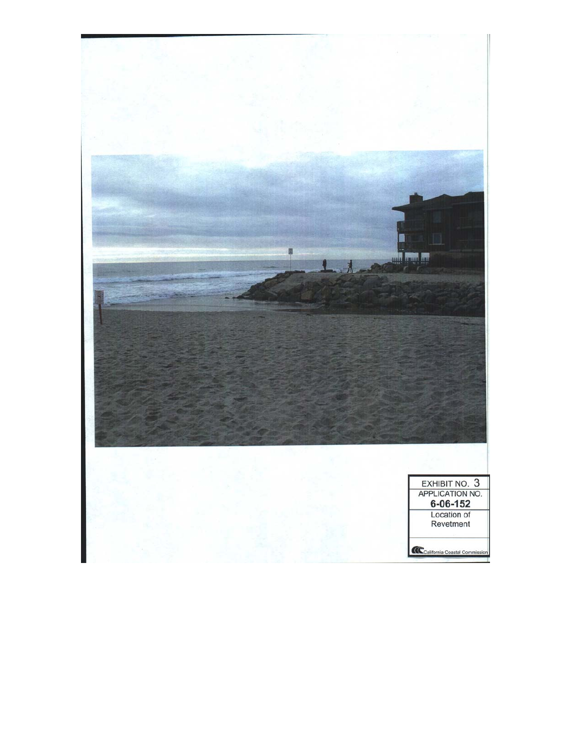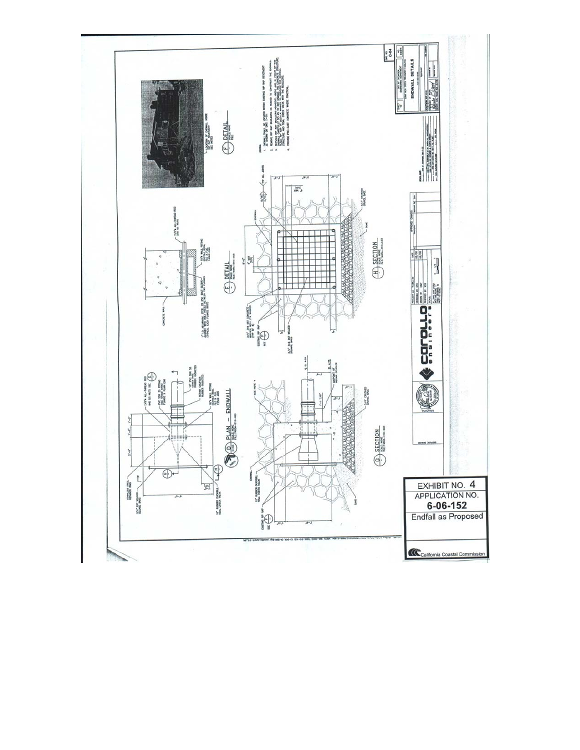